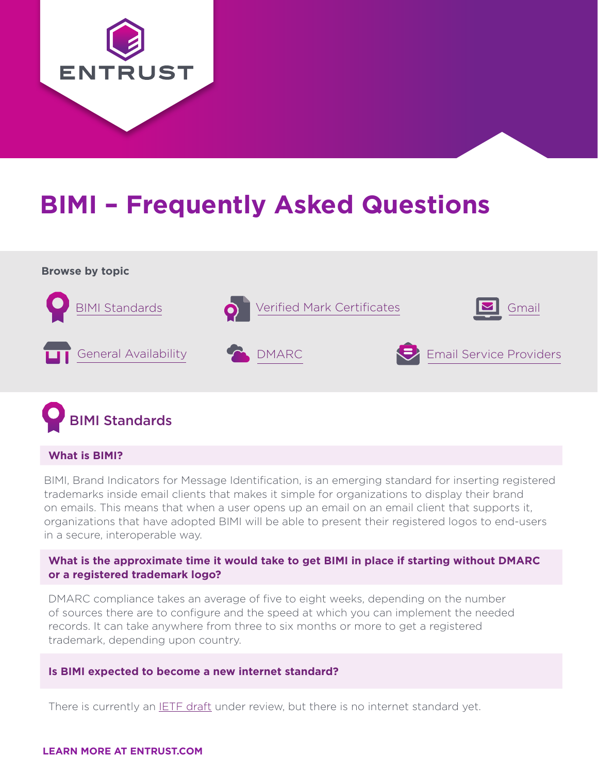

# **BIMI – Frequently Asked Questions**





#### **What is BIMI?**

BIMI, Brand Indicators for Message Identification, is an emerging standard for inserting registered trademarks inside email clients that makes it simple for organizations to display their brand on emails. This means that when a user opens up an email on an email client that supports it, organizations that have adopted BIMI will be able to present their registered logos to end-users in a secure, interoperable way.

#### **What is the approximate time it would take to get BIMI in place if starting without DMARC or a registered trademark logo?**

DMARC compliance takes an average of five to eight weeks, depending on the number of sources there are to configure and the speed at which you can implement the needed records. It can take anywhere from three to six months or more to get a registered trademark, depending upon country.

#### **Is BIMI expected to become a new internet standard?**

There is currently an **IETF draft** under review, but there is no internet standard yet.

#### **LEARN MORE AT ENTRUST.COM**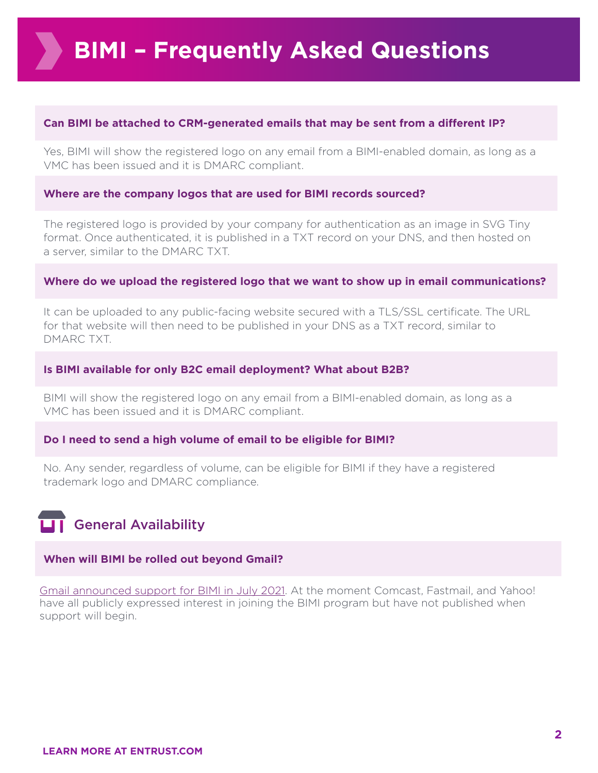#### **Can BIMI be attached to CRM-generated emails that may be sent from a different IP?**

Yes, BIMI will show the registered logo on any email from a BIMI-enabled domain, as long as a VMC has been issued and it is DMARC compliant.

#### **Where are the company logos that are used for BIMI records sourced?**

The registered logo is provided by your company for authentication as an image in SVG Tiny format. Once authenticated, it is published in a TXT record on your DNS, and then hosted on a server, similar to the DMARC TXT.

#### **Where do we upload the registered logo that we want to show up in email communications?**

It can be uploaded to any public-facing website secured with a TLS/SSL certificate. The URL for that website will then need to be published in your DNS as a TXT record, similar to DMARC TXT.

#### **Is BIMI available for only B2C email deployment? What about B2B?**

BIMI will show the registered logo on any email from a BIMI-enabled domain, as long as a VMC has been issued and it is DMARC compliant.

#### **Do I need to send a high volume of email to be eligible for BIMI?**

No. Any sender, regardless of volume, can be eligible for BIMI if they have a registered trademark logo and DMARC compliance.

### General Availability

#### **When will BIMI be rolled out beyond Gmail?**

[Gmail announced support for BIMI in July 2021.](https://urldefense.com/v3/__https:/www.google.com/url?q=https:**Acloud.google.com*blog*products*identity-security*bringing-bimi-to-gmail-in-google-workspace&sa=D&source=editors&ust=1625082238451000&usg=AOvVaw0iJLRaTNuhcx79siehWydq__;Ly8vLy8v!!FJ-Y8qCqXTj2!PpmCXQwHVM3hCFeroTScoduz2Lu2OfbMZUfOa4pvJt8mBqBpl4h4tpPUZgTUrLrX$"https://cloud.google.com/blog/products/identity-security/bringing-bimi-to-gmail-in-google-workspace) At the moment Comcast, Fastmail, and Yahoo! have all publicly expressed interest in joining the BIMI program but have not published when support will begin.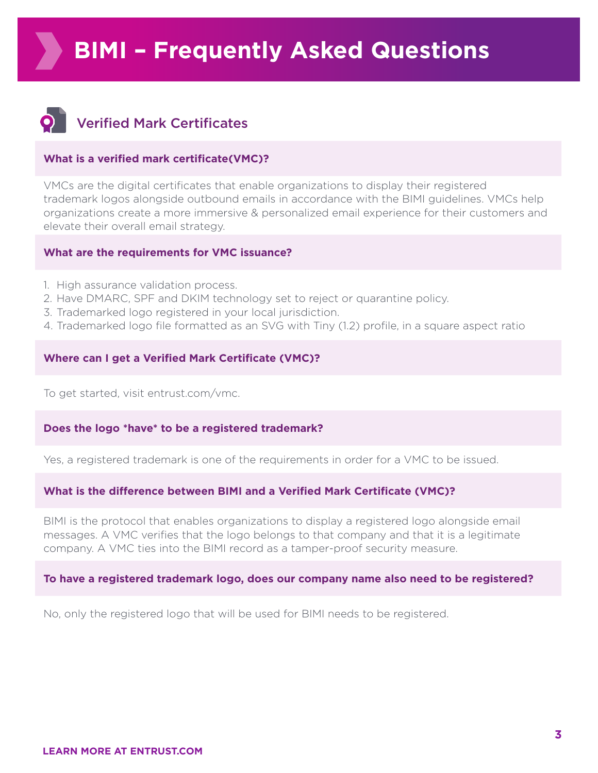<span id="page-2-0"></span>

### Verified Mark Certificates

#### **What is a verified mark certificate(VMC)?**

VMCs are the digital certificates that enable organizations to display their registered trademark logos alongside outbound emails in accordance with the BIMI guidelines. VMCs help organizations create a more immersive & personalized email experience for their customers and elevate their overall email strategy.

#### **What are the requirements for VMC issuance?**

- 1. High assurance validation process.
- 2. Have DMARC, SPF and DKIM technology set to reject or quarantine policy.
- 3. Trademarked logo registered in your local jurisdiction.
- 4. Trademarked logo file formatted as an SVG with Tiny (1.2) profile, in a square aspect ratio

#### **Where can I get a Verified Mark Certificate (VMC)?**

To get started, visit entrust.com/vmc.

#### **Does the logo \*have\* to be a registered trademark?**

Yes, a registered trademark is one of the requirements in order for a VMC to be issued.

#### **What is the difference between BIMI and a Verified Mark Certificate (VMC)?**

BIMI is the protocol that enables organizations to display a registered logo alongside email messages. A VMC verifies that the logo belongs to that company and that it is a legitimate company. A VMC ties into the BIMI record as a tamper-proof security measure.

#### **To have a registered trademark logo, does our company name also need to be registered?**

No, only the registered logo that will be used for BIMI needs to be registered.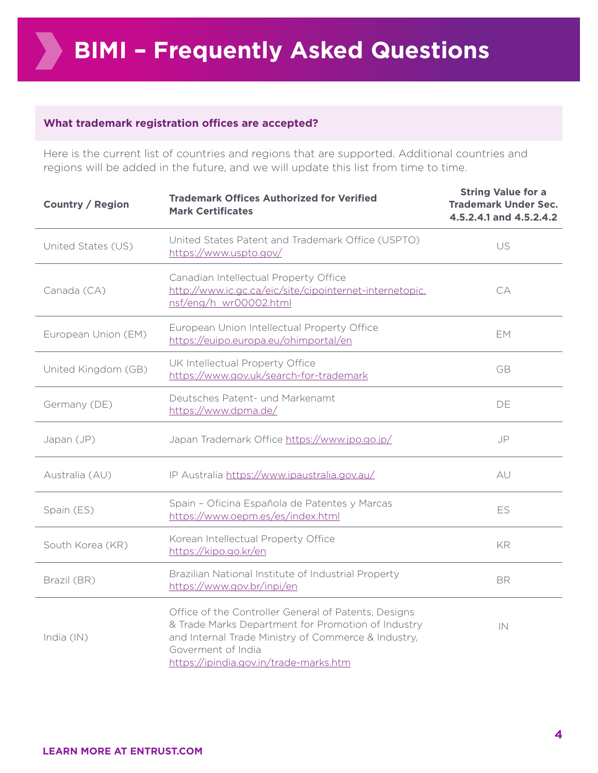#### **What trademark registration offices are accepted?**

Here is the current list of countries and regions that are supported. Additional countries and regions will be added in the future, and we will update this list from time to time.

| <b>Country / Region</b> | <b>Trademark Offices Authorized for Verified</b><br><b>Mark Certificates</b>                                                                                                                                                      | <b>String Value for a</b><br><b>Trademark Under Sec.</b><br>4.5.2.4.1 and 4.5.2.4.2 |
|-------------------------|-----------------------------------------------------------------------------------------------------------------------------------------------------------------------------------------------------------------------------------|-------------------------------------------------------------------------------------|
| United States (US)      | United States Patent and Trademark Office (USPTO)<br>https://www.uspto.gov/                                                                                                                                                       | US                                                                                  |
| Canada (CA)             | Canadian Intellectual Property Office<br>http://www.ic.gc.ca/eic/site/cipointernet-internetopic.<br>nsf/eng/h_wr00002.html                                                                                                        | CA                                                                                  |
| European Union (EM)     | European Union Intellectual Property Office<br>https://euipo.europa.eu/ohimportal/en                                                                                                                                              | EM.                                                                                 |
| United Kingdom (GB)     | UK Intellectual Property Office<br>https://www.gov.uk/search-for-trademark                                                                                                                                                        | <b>GB</b>                                                                           |
| Germany (DE)            | Deutsches Patent- und Markenamt<br>https://www.dpma.de/                                                                                                                                                                           | DE                                                                                  |
| Japan (JP)              | Japan Trademark Office https://www.jpo.go.jp/                                                                                                                                                                                     | JP                                                                                  |
| Australia (AU)          | IP Australia https://www.ipaustralia.gov.au/                                                                                                                                                                                      | AU                                                                                  |
| Spain (ES)              | Spain - Oficina Española de Patentes y Marcas<br>https://www.oepm.es/es/index.html                                                                                                                                                | ES                                                                                  |
| South Korea (KR)        | Korean Intellectual Property Office<br>https://kipo.go.kr/en                                                                                                                                                                      | KR                                                                                  |
| Brazil (BR)             | Brazilian National Institute of Industrial Property<br>https://www.gov.br/inpi/en                                                                                                                                                 | <b>BR</b>                                                                           |
| India (IN)              | Office of the Controller General of Patents, Designs<br>& Trade Marks Department for Promotion of Industry<br>and Internal Trade Ministry of Commerce & Industry,<br>Goverment of India<br>https://ipindia.gov.in/trade-marks.htm | IN                                                                                  |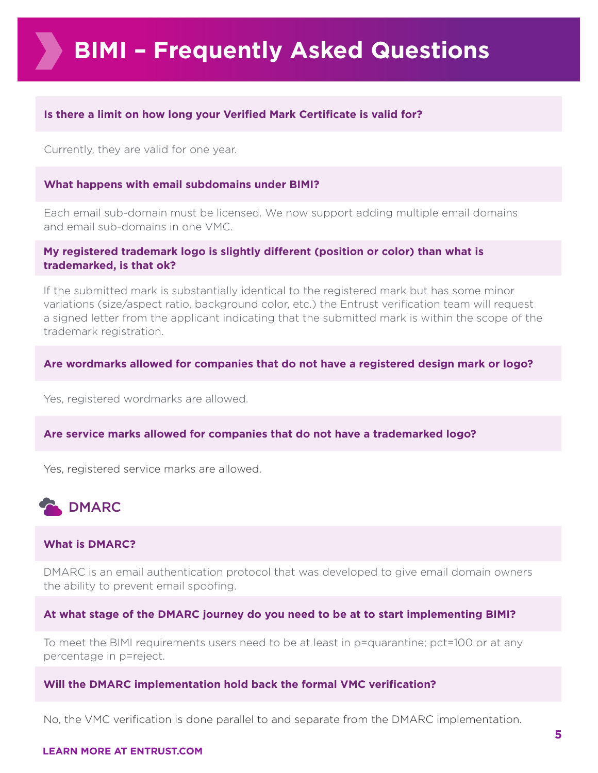#### <span id="page-4-0"></span>**Is there a limit on how long your Verified Mark Certificate is valid for?**

Currently, they are valid for one year.

#### **What happens with email subdomains under BIMI?**

Each email sub-domain must be licensed. We now support adding multiple email domains and email sub-domains in one VMC.

#### **My registered trademark logo is slightly different (position or color) than what is trademarked, is that ok?**

If the submitted mark is substantially identical to the registered mark but has some minor variations (size/aspect ratio, background color, etc.) the Entrust verification team will request a signed letter from the applicant indicating that the submitted mark is within the scope of the trademark registration.

#### **Are wordmarks allowed for companies that do not have a registered design mark or logo?**

Yes, registered wordmarks are allowed.

#### **Are service marks allowed for companies that do not have a trademarked logo?**

Yes, registered service marks are allowed.



#### **What is DMARC?**

DMARC is an email authentication protocol that was developed to give email domain owners the ability to prevent email spoofing.

#### **At what stage of the DMARC journey do you need to be at to start implementing BIMI?**

To meet the BIMI requirements users need to be at least in p=quarantine; pct=100 or at any percentage in p=reject.

#### **Will the DMARC implementation hold back the formal VMC verification?**

No, the VMC verification is done parallel to and separate from the DMARC implementation.

#### **LEARN MORE AT ENTRUST.COM**